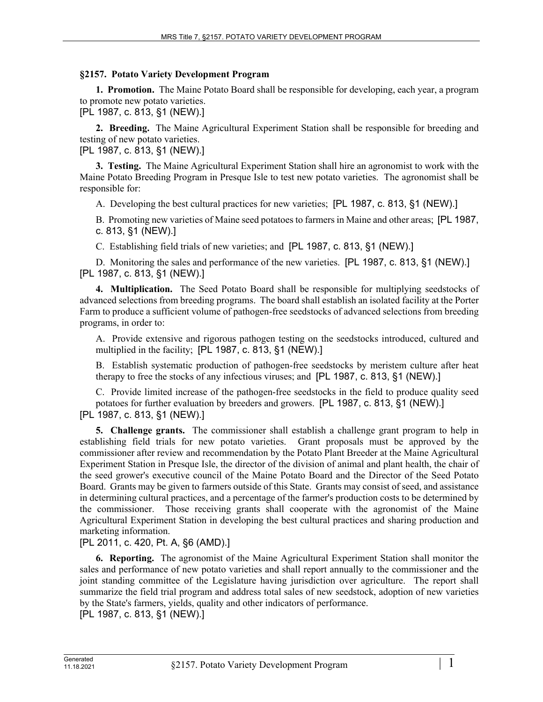## **§2157. Potato Variety Development Program**

**1. Promotion.** The Maine Potato Board shall be responsible for developing, each year, a program to promote new potato varieties.

[PL 1987, c. 813, §1 (NEW).]

**2. Breeding.** The Maine Agricultural Experiment Station shall be responsible for breeding and testing of new potato varieties.

[PL 1987, c. 813, §1 (NEW).]

**3. Testing.** The Maine Agricultural Experiment Station shall hire an agronomist to work with the Maine Potato Breeding Program in Presque Isle to test new potato varieties. The agronomist shall be responsible for:

A. Developing the best cultural practices for new varieties; [PL 1987, c. 813, §1 (NEW).]

B. Promoting new varieties of Maine seed potatoes to farmers in Maine and other areas; [PL 1987, c. 813, §1 (NEW).]

C. Establishing field trials of new varieties; and [PL 1987, c. 813, §1 (NEW).]

D. Monitoring the sales and performance of the new varieties. [PL 1987, c. 813, §1 (NEW).] [PL 1987, c. 813, §1 (NEW).]

**4. Multiplication.** The Seed Potato Board shall be responsible for multiplying seedstocks of advanced selections from breeding programs. The board shall establish an isolated facility at the Porter Farm to produce a sufficient volume of pathogen-free seedstocks of advanced selections from breeding programs, in order to:

A. Provide extensive and rigorous pathogen testing on the seedstocks introduced, cultured and multiplied in the facility; [PL 1987, c. 813, §1 (NEW).]

B. Establish systematic production of pathogen-free seedstocks by meristem culture after heat therapy to free the stocks of any infectious viruses; and [PL 1987, c. 813, §1 (NEW).]

C. Provide limited increase of the pathogen-free seedstocks in the field to produce quality seed potatoes for further evaluation by breeders and growers. [PL 1987, c. 813, §1 (NEW).] [PL 1987, c. 813, §1 (NEW).]

**5. Challenge grants.** The commissioner shall establish a challenge grant program to help in establishing field trials for new potato varieties. Grant proposals must be approved by the commissioner after review and recommendation by the Potato Plant Breeder at the Maine Agricultural Experiment Station in Presque Isle, the director of the division of animal and plant health, the chair of the seed grower's executive council of the Maine Potato Board and the Director of the Seed Potato Board. Grants may be given to farmers outside of this State. Grants may consist of seed, and assistance in determining cultural practices, and a percentage of the farmer's production costs to be determined by the commissioner. Those receiving grants shall cooperate with the agronomist of the Maine Agricultural Experiment Station in developing the best cultural practices and sharing production and marketing information.

[PL 2011, c. 420, Pt. A, §6 (AMD).]

**6. Reporting.** The agronomist of the Maine Agricultural Experiment Station shall monitor the sales and performance of new potato varieties and shall report annually to the commissioner and the joint standing committee of the Legislature having jurisdiction over agriculture. The report shall summarize the field trial program and address total sales of new seedstock, adoption of new varieties by the State's farmers, yields, quality and other indicators of performance. [PL 1987, c. 813, §1 (NEW).]